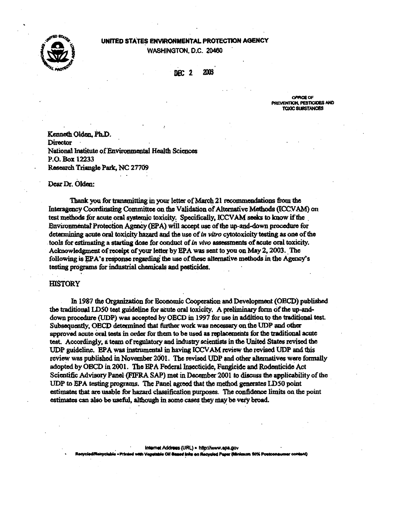#### UNITED STATES ENVIRONMENTAL PROTECTION AGENCY



WASHINGTON, D.C. 20460

DEC 2  $20B$ 

> OFFICE OF PREVENTION, PESTICIDES AND TOXIC SUBSTANCES

Kenneth Olden, Ph.D. Director National Institute of Environmental Health Sciences P.O. Box 12233 Research Triangle Park, NC 27709

Dear Dr. Olden:

Thank you for transmitting in your letter of March 21 recommendations from the Interagency Coordinating Committee on the Validation of Alternative Methods (ICCVAM) on test methods for acute oral systemic toxicity. Specifically, ICCVAM seeks to know if the Environmental Protection Agency (EPA) will accept use of the up-and-down procedure for determining acute oral toxicity hazard and the use of in vitro cytotoxicity testing as one of the tools for estimating a starting dose for conduct of in vivo assessments of acute oral toxicity. Acknowledgment of receipt of your letter by EPA was sent to you on May 2, 2003. The following is EPA's response regarding the use of these alternative methods in the Agency's testing programs for industrial chemicals and pesticides.

# **HISTORY**

In 1987 the Organization for Economic Cooperation and Development (OECD) published the traditional LD50 test guideline for acute oral toxicity. A preliminary form of the up-anddown procedure (UDP) was accepted by OECD in 1997 for use in addition to the traditional test. Subsequently, OECD determined that further work was necessary on the UDP and other approved acute oral tests in order for them to be used as replacements for the traditional acute test. Accordingly, a team of regulatory and industry scientists in the United States revised the UDP guideline. EPA was instrumental in having ICCVAM review the revised UDP and this review was published in November 2001. The revised UDP and other alternatives were formally adopted by OECD in 2001. The EPA Federal Insecticide, Fungicide and Rodenticide Act Scientific Advisory Panel (FIFRA SAP) met in December 2001 to discuss the applicability of the UDP to EPA testing programs. The Panel agreed that the method generates LD50 point estimates that are usable for hazard classification purposes. The confidence limits on the point estimates can also be useful, although in some cases they may be very broad.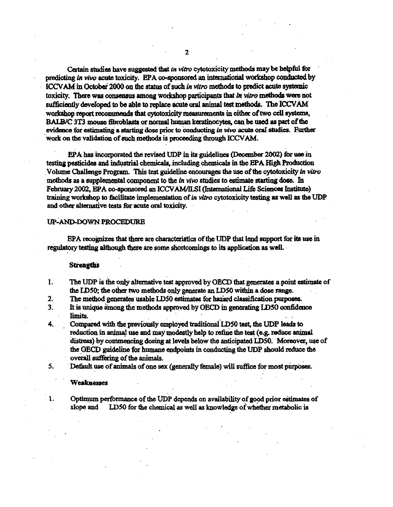Certain studies have suggested that *in vitro* cytotoxicity methods may be helpful for predicting *in vivo* acute toxicity. EPA co-sponsored an international workshop conducted by ICCVAM in October 2000 on the status of such *in vitro* methods to predict acute systemic toxicity. There was consensus among workshop participants that in vitro methods were not sufficiently develOped to be able to replace acute oral animal test methods. The ICCVAM workshop report recommends that cytotoxicity measurements in either of two cell systems, BALB/C 3T3 mouse fibroblasts or normal human keratinocytes, can be used as part of the '~dmce for estimating a starting dose prior to eoncl~ *tn vivo* acute oral studies. Further work on the validation of such methods is proceeding through ICCVAM.

EPA has incorporated the revised UDP in its guidelines (December 2002) for use in testing pesticides and industrial chemicals, including chemicals in the EPA High Production Volume Challenge Program. This test guideline encourages the use of the cytotoxicity in vitro methods as a supplemental component to the *in vivo* studies to estimate starting dose. In February 2002, BPA co-sponsored an ICCVAMIILSI (Intemational Life Sciences Institute) training wodcshop to faeilitate·implementation ofin *vltro* cytotoxicitytesting as well as the UDP and other alternative tests for acute oral toxicity.

# UP~AND-OOWN PROCEDURE

EPA recognizes that there are characteristics of the UDP that lend support for its use in regulatory testing although there are some shortcomings to its application as well.

#### **Strengths**

1. The UDP is the only alternative test approved by OECD that generates a point estimate of the *IDSO;* the other two methods only generate an *LDSO* within a dose range.

2. The method generates usable LD50 estimates for hazard classification purposes.

- 3. It is unique among die methods approved by OECD in generating LDSO oonfidcuce limits. .
- 4. Compared with the previously employed traditional LD50 test, the UDP leads to reduction in animal use and may modestly help to refine the test (e.g. reduce animal distress) by commencing dosing at levels below the anticipated LD50. Moreover, use of the 9ECD guideline for humane endpoints in conducting the UDP should reduce the overall suffering of the animals.

5. Default use of animals of one sex (generally female) will suffice for most purposes.

## Weakaeaes

1. Optimum performance of the UDP depends on availability of good prior estimates of slope and LD50 for the chemical as well as knowledge of whether metabolic is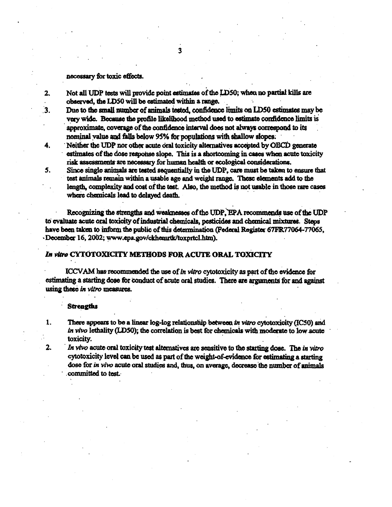## necessary for toxic effects.

 $2.$ 

 $\overline{\mathbf{3}}$ .

Not all UDP tests will provide point estimates of the LD50; when no partial kills are observed, the LD50 will be estimated within a range.

Due to the small number of animals tested, confidence limits on LD50 estimates may be very wide. Because the profile likelihood method used to estimate confidence limits is approximate, coverage of the confidence interval does not always correspond to its nominal value and falls below 95% for populations with shallow slopes.

Neither the UDP nor other acute oral toxicity alternatives accepted by OECD generate 4. estimates of the dose response slope. This is a shortcoming in cases when acute toxicity risk assessments are necessary for human health or ecological considerations. 5.

Since single animals are tested sequentially in the UDP, care must be taken to ensure that test animals remain within a usable age and weight range. These elements add to the length, complexity and cost of the test. Also, the method is not usable in those rare cases where chemicals lead to delayed death.

Recognizing the strengths and weaknesses of the UDP, EPA recommends use of the UDP to evaluate acute oral toxicity of industrial chemicals, pesticides and chemical mixtures. Steps have been taken to inform the public of this determination (Federal Register 67FR77064-77065, December 16, 2002; www.epa.gov/ckhemrtk/toxprtcl.htm).

# In vitro CYTOTOXICITY METHODS FOR ACUTE ORAL TOXICITY

ICCVAM has recommended the use of in vitro cytotoxicity as part of the evidence for estimating a starting dose for conduct of acute oral studies. There are arguments for and against using these in vitro measures.

### **Strengths**

 $2.$ 

1. There appears to be a linear log-log relationship between in vitro eviotoxicity (IC50) and in vivo lethality (LD50); the correlation is best for chemicals with moderate to low acute toxicity.

In vivo acute oral toxicity test alternatives are sensitive to the starting dose. The in vitro cytotoxicity level can be used as part of the weight-of-evidence for estimating a starting dose for in vivo acute oral studies and, thus, on average, decrease the number of animals committed to test.

 $\overline{\mathbf{3}}$